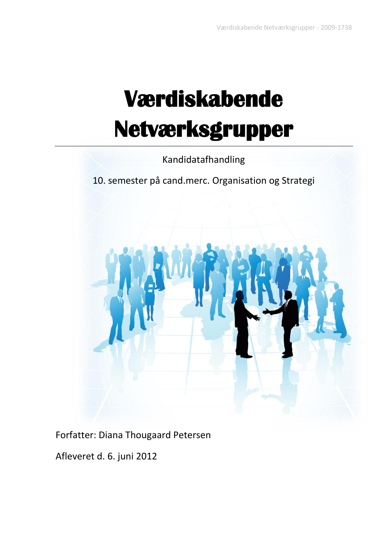# **Værdiskabende Netværksgrupper**

Kandidatafhandling

10. semester på cand.merc. Organisation og Strategi



Forfatter: Diana Thougaard Petersen

Afleveret d. 6. juni 2012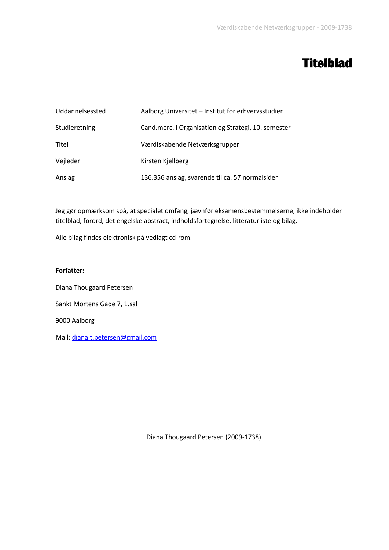## **Titelblad**

| Uddannelsessted | Aalborg Universitet - Institut for erhvervsstudier  |
|-----------------|-----------------------------------------------------|
| Studieretning   | Cand.merc. i Organisation og Strategi, 10. semester |
| Titel           | Værdiskabende Netværksgrupper                       |
| Vejleder        | Kirsten Kjellberg                                   |
| Anslag          | 136.356 anslag, svarende til ca. 57 normalsider     |

Jeg gør opmærksom spå, at specialet omfang, jævnfør eksamensbestemmelserne, ikke indeholder titelblad, forord, det engelske abstract, indholdsfortegnelse, litteraturliste og bilag.

Alle bilag findes elektronisk på vedlagt cd-rom.

#### **Forfatter:**

Diana Thougaard Petersen Sankt Mortens Gade 7, 1.sal 9000 Aalborg Mail: [diana.t.petersen@gmail.com](mailto:diana.t.petersen@gmail.com)

Diana Thougaard Petersen (2009-1738)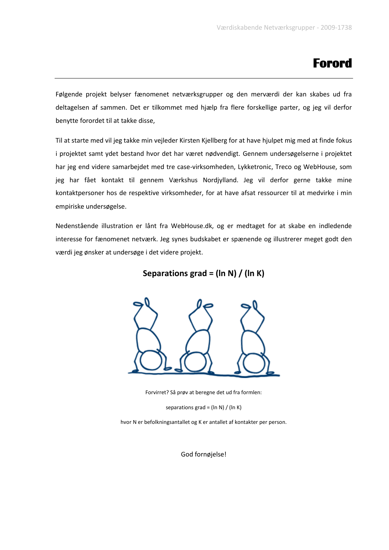## **Forord**

Følgende projekt belyser fænomenet netværksgrupper og den merværdi der kan skabes ud fra deltagelsen af sammen. Det er tilkommet med hjælp fra flere forskellige parter, og jeg vil derfor benytte forordet til at takke disse,

Til at starte med vil jeg takke min vejleder Kirsten Kjellberg for at have hjulpet mig med at finde fokus i projektet samt ydet bestand hvor det har været nødvendigt. Gennem undersøgelserne i projektet har jeg end videre samarbejdet med tre case-virksomheden, Lykketronic, Treco og WebHouse, som jeg har fået kontakt til gennem Værkshus Nordjylland. Jeg vil derfor gerne takke mine kontaktpersoner hos de respektive virksomheder, for at have afsat ressourcer til at medvirke i min empiriske undersøgelse.

Nedenstående illustration er lånt fra WebHouse.dk, og er medtaget for at skabe en indledende interesse for fænomenet netværk. Jeg synes budskabet er spænende og illustrerer meget godt den værdi jeg ønsker at undersøge i det videre projekt.

#### **Separations grad = (ln N) / (ln K)**



Forvirret? Så prøv at beregne det ud fra formlen:

separations grad =  $(ln N) / (ln K)$ 

hvor N er befolkningsantallet og K er antallet af kontakter per person.

God fornøjelse!